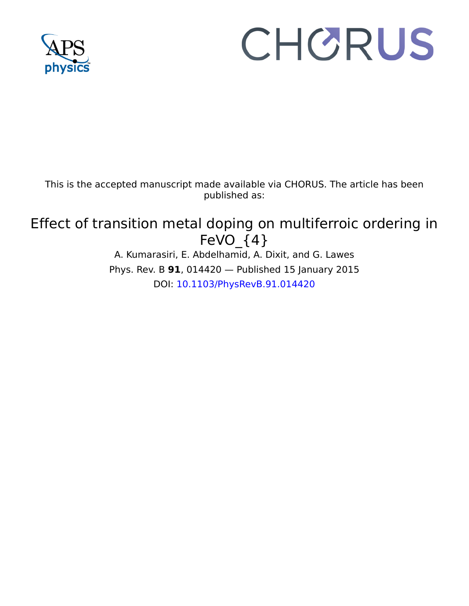

# CHORUS

This is the accepted manuscript made available via CHORUS. The article has been published as:

## Effect of transition metal doping on multiferroic ordering in FeVO  ${4}$

A. Kumarasiri, E. Abdelhamid, A. Dixit, and G. Lawes Phys. Rev. B **91**, 014420 — Published 15 January 2015 DOI: 10.1103/PhysRevB.91.014420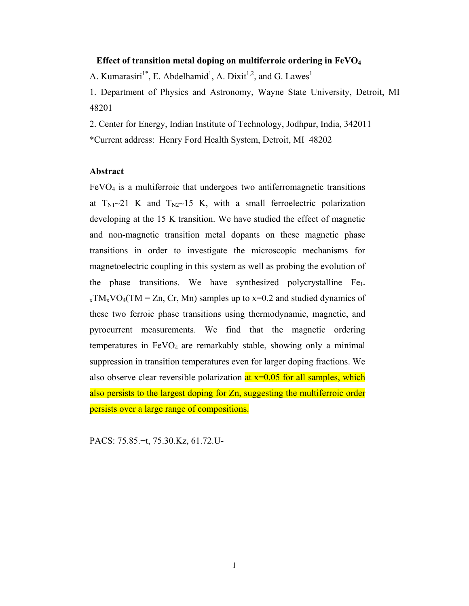### **Effect of transition metal doping on multiferroic ordering in FeVO<sup>4</sup>**

A. Kumarasiri<sup>1\*</sup>, E. Abdelhamid<sup>1</sup>, A. Dixit<sup>1,2</sup>, and G. Lawes<sup>1</sup>

1. Department of Physics and Astronomy, Wayne State University, Detroit, MI 48201

2. Center for Energy, Indian Institute of Technology, Jodhpur, India, 342011 \*Current address: Henry Ford Health System, Detroit, MI 48202

### **Abstract**

 $FeVO<sub>4</sub>$  is a multiferroic that undergoes two antiferromagnetic transitions at  $T_{N1}$   $\sim$  21 K and  $T_{N2}$   $\sim$  15 K, with a small ferroelectric polarization developing at the 15 K transition. We have studied the effect of magnetic and non-magnetic transition metal dopants on these magnetic phase transitions in order to investigate the microscopic mechanisms for magnetoelectric coupling in this system as well as probing the evolution of the phase transitions. We have synthesized polycrystalline  $Fe<sub>1</sub>$ .  $_{x}TM_{x}VO_{4}(TM = Zn, Cr, Mn)$  samples up to  $x=0.2$  and studied dynamics of these two ferroic phase transitions using thermodynamic, magnetic, and pyrocurrent measurements. We find that the magnetic ordering temperatures in  $FeVO<sub>4</sub>$  are remarkably stable, showing only a minimal suppression in transition temperatures even for larger doping fractions. We also observe clear reversible polarization  $at x=0.05$  for all samples, which also persists to the largest doping for Zn, suggesting the multiferroic order persists over a large range of compositions.

PACS: 75.85.+t, 75.30.Kz, 61.72.U-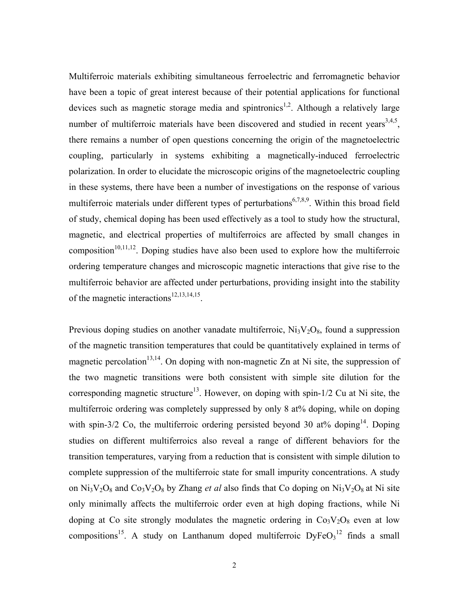Multiferroic materials exhibiting simultaneous ferroelectric and ferromagnetic behavior have been a topic of great interest because of their potential applications for functional devices such as magnetic storage media and spintronics<sup>1,2</sup>. Although a relatively large number of multiferroic materials have been discovered and studied in recent years<sup>3,4,5</sup>, there remains a number of open questions concerning the origin of the magnetoelectric coupling, particularly in systems exhibiting a magnetically-induced ferroelectric polarization. In order to elucidate the microscopic origins of the magnetoelectric coupling in these systems, there have been a number of investigations on the response of various multiferroic materials under different types of perturbations<sup>6,7,8,9</sup>. Within this broad field of study, chemical doping has been used effectively as a tool to study how the structural, magnetic, and electrical properties of multiferroics are affected by small changes in composition<sup>10,11,12</sup>. Doping studies have also been used to explore how the multiferroic ordering temperature changes and microscopic magnetic interactions that give rise to the multiferroic behavior are affected under perturbations, providing insight into the stability of the magnetic interactions<sup>12,13,14,15</sup>.

Previous doping studies on another vanadate multiferroic,  $Ni<sub>3</sub>V<sub>2</sub>O<sub>8</sub>$ , found a suppression of the magnetic transition temperatures that could be quantitatively explained in terms of magnetic percolation<sup>13,14</sup>. On doping with non-magnetic Zn at Ni site, the suppression of the two magnetic transitions were both consistent with simple site dilution for the corresponding magnetic structure<sup>13</sup>. However, on doping with spin- $1/2$  Cu at Ni site, the multiferroic ordering was completely suppressed by only 8 at% doping, while on doping with spin-3/2 Co, the multiferroic ordering persisted beyond 30 at% doping<sup>14</sup>. Doping studies on different multiferroics also reveal a range of different behaviors for the transition temperatures, varying from a reduction that is consistent with simple dilution to complete suppression of the multiferroic state for small impurity concentrations. A study on  $Ni<sub>3</sub>V<sub>2</sub>O<sub>8</sub>$  and  $Co<sub>3</sub>V<sub>2</sub>O<sub>8</sub>$  by Zhang *et al* also finds that Co doping on  $Ni<sub>3</sub>V<sub>2</sub>O<sub>8</sub>$  at Ni site only minimally affects the multiferroic order even at high doping fractions, while Ni doping at Co site strongly modulates the magnetic ordering in  $Co<sub>3</sub>V<sub>2</sub>O<sub>8</sub>$  even at low compositions<sup>15</sup>. A study on Lanthanum doped multiferroic  $DyFeO<sub>3</sub><sup>12</sup>$  finds a small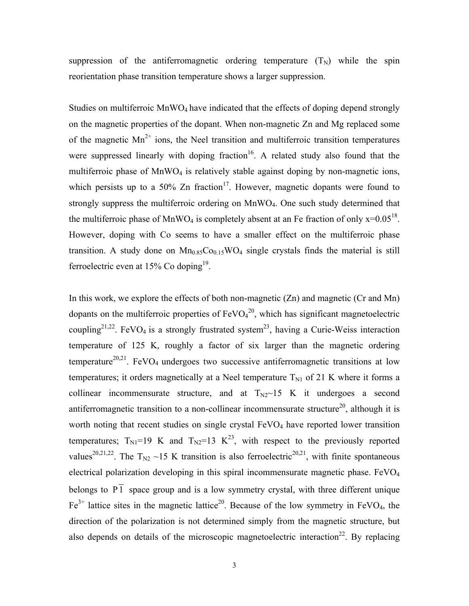suppression of the antiferromagnetic ordering temperature  $(T_N)$  while the spin reorientation phase transition temperature shows a larger suppression.

Studies on multiferroic  $MnWO_4$  have indicated that the effects of doping depend strongly on the magnetic properties of the dopant. When non-magnetic Zn and Mg replaced some of the magnetic  $Mn^{2+}$  ions, the Neel transition and multiferroic transition temperatures were suppressed linearly with doping fraction<sup>16</sup>. A related study also found that the multiferroic phase of  $MnWO<sub>4</sub>$  is relatively stable against doping by non-magnetic ions, which persists up to a 50% Zn fraction<sup>17</sup>. However, magnetic dopants were found to strongly suppress the multiferroic ordering on MnWO<sub>4</sub>. One such study determined that the multiferroic phase of MnWO<sub>4</sub> is completely absent at an Fe fraction of only  $x=0.05^{18}$ . However, doping with Co seems to have a smaller effect on the multiferroic phase transition. A study done on  $Mn<sub>0.85</sub>Co<sub>0.15</sub>WO<sub>4</sub> single crystals finds the material is still$ ferroelectric even at  $15\%$  Co doping<sup>19</sup>.

In this work, we explore the effects of both non-magnetic (Zn) and magnetic (Cr and Mn) dopants on the multiferroic properties of  $FeVO<sub>4</sub><sup>20</sup>$ , which has significant magnetoelectric coupling<sup>21,22</sup>. FeVO<sub>4</sub> is a strongly frustrated system<sup>23</sup>, having a Curie-Weiss interaction temperature of 125 K, roughly a factor of six larger than the magnetic ordering temperature<sup>20,21</sup>. FeVO<sub>4</sub> undergoes two successive antiferromagnetic transitions at low temperatures; it orders magnetically at a Neel temperature  $T_{N1}$  of 21 K where it forms a collinear incommensurate structure, and at  $T_{N2}$  15 K it undergoes a second antiferromagnetic transition to a non-collinear incommensurate structure<sup>20</sup>, although it is worth noting that recent studies on single crystal  $FeVO<sub>4</sub>$  have reported lower transition temperatures;  $T_{\text{N1}}=19$  K and  $T_{\text{N2}}=13$  K<sup>23</sup>, with respect to the previously reported values<sup>20,21,22</sup>. The T<sub>N2</sub> ~15 K transition is also ferroelectric<sup>20,21</sup>, with finite spontaneous electrical polarization developing in this spiral incommensurate magnetic phase. FeVO<sup>4</sup> belongs to  $\overline{PI}$  space group and is a low symmetry crystal, with three different unique  $Fe<sup>3+</sup>$  lattice sites in the magnetic lattice<sup>20</sup>. Because of the low symmetry in FeVO<sub>4</sub>, the direction of the polarization is not determined simply from the magnetic structure, but also depends on details of the microscopic magnetoelectric interaction<sup>22</sup>. By replacing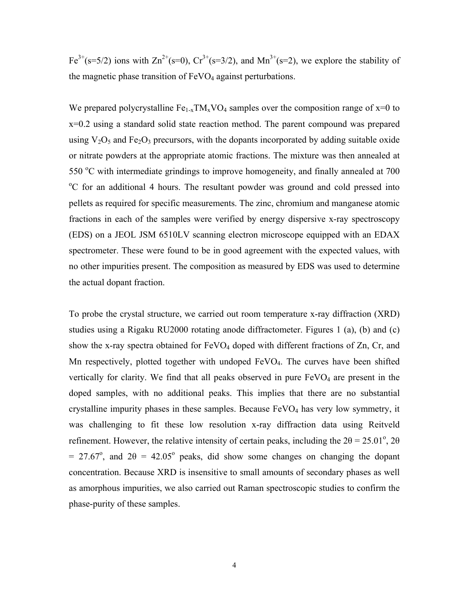Fe<sup>3+</sup>(s=5/2) ions with  $\text{Zn}^{2+}$ (s=0),  $\text{Cr}^{3+}$ (s=3/2), and  $\text{Mn}^{3+}$ (s=2), we explore the stability of the magnetic phase transition of  $FeVO<sub>4</sub>$  against perturbations.

We prepared polycrystalline  $Fe_{1-x}TM_xVO_4$  samples over the composition range of  $x=0$  to x=0.2 using a standard solid state reaction method. The parent compound was prepared using  $V_2O_5$  and Fe<sub>2</sub>O<sub>3</sub> precursors, with the dopants incorporated by adding suitable oxide or nitrate powders at the appropriate atomic fractions. The mixture was then annealed at  $550 \degree$ C with intermediate grindings to improve homogeneity, and finally annealed at 700 <sup>o</sup>C for an additional 4 hours. The resultant powder was ground and cold pressed into pellets as required for specific measurements. The zinc, chromium and manganese atomic fractions in each of the samples were verified by energy dispersive x-ray spectroscopy (EDS) on a JEOL JSM 6510LV scanning electron microscope equipped with an EDAX spectrometer. These were found to be in good agreement with the expected values, with no other impurities present. The composition as measured by EDS was used to determine the actual dopant fraction.

To probe the crystal structure, we carried out room temperature x-ray diffraction (XRD) studies using a Rigaku RU2000 rotating anode diffractometer. Figures 1 (a), (b) and (c) show the x-ray spectra obtained for FeVO<sub>4</sub> doped with different fractions of Zn, Cr, and Mn respectively, plotted together with undoped FeVO<sub>4</sub>. The curves have been shifted vertically for clarity. We find that all peaks observed in pure  $FeVO<sub>4</sub>$  are present in the doped samples, with no additional peaks. This implies that there are no substantial crystalline impurity phases in these samples. Because  $FeVO<sub>4</sub>$  has very low symmetry, it was challenging to fit these low resolution x-ray diffraction data using Reitveld refinement. However, the relative intensity of certain peaks, including the  $2\theta = 25.01^{\circ}$ ,  $2\theta$ = 27.67°, and  $2\theta$  = 42.05° peaks, did show some changes on changing the dopant concentration. Because XRD is insensitive to small amounts of secondary phases as well as amorphous impurities, we also carried out Raman spectroscopic studies to confirm the phase-purity of these samples.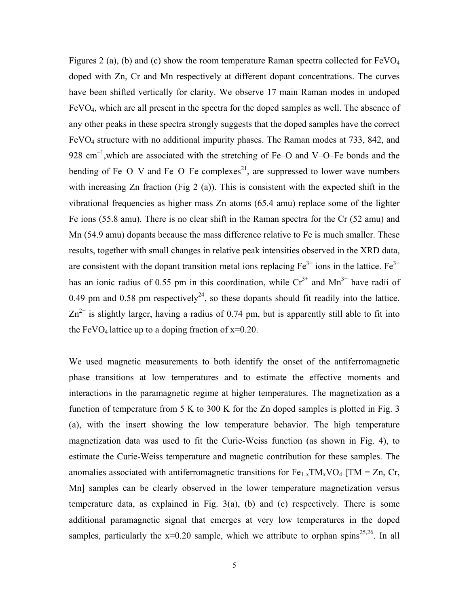Figures 2 (a), (b) and (c) show the room temperature Raman spectra collected for  $FeVO<sub>4</sub>$ doped with Zn, Cr and Mn respectively at different dopant concentrations. The curves have been shifted vertically for clarity. We observe 17 main Raman modes in undoped FeVO4, which are all present in the spectra for the doped samples as well. The absence of any other peaks in these spectra strongly suggests that the doped samples have the correct FeVO4 structure with no additional impurity phases. The Raman modes at 733, 842, and 928 cm<sup>-1</sup>, which are associated with the stretching of Fe–O and V–O–Fe bonds and the bending of Fe–O–V and Fe–O–Fe complexes<sup>21</sup>, are suppressed to lower wave numbers with increasing Zn fraction (Fig 2 (a)). This is consistent with the expected shift in the vibrational frequencies as higher mass Zn atoms (65.4 amu) replace some of the lighter Fe ions (55.8 amu). There is no clear shift in the Raman spectra for the Cr (52 amu) and Mn (54.9 amu) dopants because the mass difference relative to Fe is much smaller. These results, together with small changes in relative peak intensities observed in the XRD data, are consistent with the dopant transition metal ions replacing  $Fe<sup>3+</sup>$  ions in the lattice.  $Fe<sup>3+</sup>$ has an ionic radius of 0.55 pm in this coordination, while  $Cr^{3+}$  and  $Mn^{3+}$  have radii of 0.49 pm and 0.58 pm respectively<sup>24</sup>, so these dopants should fit readily into the lattice.  $Zn^{2+}$  is slightly larger, having a radius of 0.74 pm, but is apparently still able to fit into the FeVO<sub>4</sub> lattice up to a doping fraction of  $x=0.20$ .

We used magnetic measurements to both identify the onset of the antiferromagnetic phase transitions at low temperatures and to estimate the effective moments and interactions in the paramagnetic regime at higher temperatures. The magnetization as a function of temperature from 5 K to 300 K for the Zn doped samples is plotted in Fig. 3 (a), with the insert showing the low temperature behavior. The high temperature magnetization data was used to fit the Curie-Weiss function (as shown in Fig. 4), to estimate the Curie-Weiss temperature and magnetic contribution for these samples. The anomalies associated with antiferromagnetic transitions for  $Fe_{1-x}TM_xVO_4$  [TM = Zn, Cr, Mn] samples can be clearly observed in the lower temperature magnetization versus temperature data, as explained in Fig. 3(a), (b) and (c) respectively. There is some additional paramagnetic signal that emerges at very low temperatures in the doped samples, particularly the  $x=0.20$  sample, which we attribute to orphan spins<sup>25,26</sup>. In all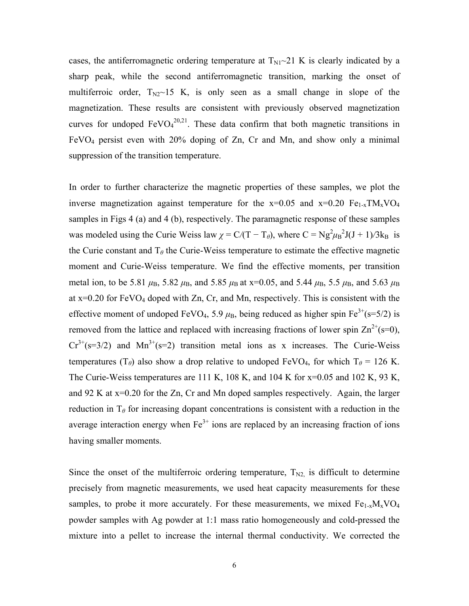cases, the antiferromagnetic ordering temperature at  $T_{\text{N1}}$   $\sim$  21 K is clearly indicated by a sharp peak, while the second antiferromagnetic transition, marking the onset of multiferroic order,  $T_{N2}$  15 K, is only seen as a small change in slope of the magnetization. These results are consistent with previously observed magnetization curves for undoped  $FeVO<sub>4</sub><sup>20,21</sup>$ . These data confirm that both magnetic transitions in FeVO4 persist even with 20% doping of Zn, Cr and Mn, and show only a minimal suppression of the transition temperature.

In order to further characterize the magnetic properties of these samples, we plot the inverse magnetization against temperature for the  $x=0.05$  and  $x=0.20$   $Fe_{1-x}TM_xVO_4$ samples in Figs 4 (a) and 4 (b), respectively. The paramagnetic response of these samples was modeled using the Curie Weiss law  $\chi = C/(T - T_{\theta})$ , where  $C = Ng^2\mu_B^2J(J + 1)/3k_B$  is the Curie constant and  $T_\theta$  the Curie-Weiss temperature to estimate the effective magnetic moment and Curie-Weiss temperature. We find the effective moments, per transition metal ion, to be 5.81  $\mu_B$ , 5.82  $\mu_B$ , and 5.85  $\mu_B$  at x=0.05, and 5.44  $\mu_B$ , 5.5  $\mu_B$ , and 5.63  $\mu_B$ at  $x=0.20$  for FeVO<sub>4</sub> doped with Zn, Cr, and Mn, respectively. This is consistent with the effective moment of undoped FeVO<sub>4</sub>, 5.9  $\mu$ <sub>B</sub>, being reduced as higher spin Fe<sup>3+</sup>(s=5/2) is removed from the lattice and replaced with increasing fractions of lower spin  $\text{Zn}^{2+}(s=0)$ ,  $Cr^{3+}(s=3/2)$  and  $Mn^{3+}(s=2)$  transition metal ions as x increases. The Curie-Weiss temperatures (T<sub>θ</sub>) also show a drop relative to undoped FeVO<sub>4</sub>, for which T<sub>θ</sub> = 126 K. The Curie-Weiss temperatures are 111 K, 108 K, and 104 K for x=0.05 and 102 K, 93 K, and 92 K at x=0.20 for the Zn, Cr and Mn doped samples respectively. Again, the larger reduction in  $T_\theta$  for increasing dopant concentrations is consistent with a reduction in the average interaction energy when  $Fe<sup>3+</sup>$  ions are replaced by an increasing fraction of ions having smaller moments.

Since the onset of the multiferroic ordering temperature,  $T_{N2}$  is difficult to determine precisely from magnetic measurements, we used heat capacity measurements for these samples, to probe it more accurately. For these measurements, we mixed  $Fe_{1-x}M_xVO_4$ powder samples with Ag powder at 1:1 mass ratio homogeneously and cold-pressed the mixture into a pellet to increase the internal thermal conductivity. We corrected the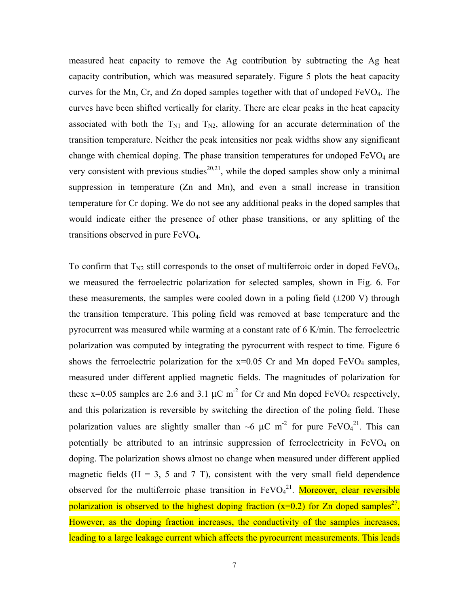measured heat capacity to remove the Ag contribution by subtracting the Ag heat capacity contribution, which was measured separately. Figure 5 plots the heat capacity curves for the Mn, Cr, and Zn doped samples together with that of undoped FeVO4. The curves have been shifted vertically for clarity. There are clear peaks in the heat capacity associated with both the  $T_{N1}$  and  $T_{N2}$ , allowing for an accurate determination of the transition temperature. Neither the peak intensities nor peak widths show any significant change with chemical doping. The phase transition temperatures for undoped  $FeVO<sub>4</sub>$  are very consistent with previous studies<sup>20,21</sup>, while the doped samples show only a minimal suppression in temperature (Zn and Mn), and even a small increase in transition temperature for Cr doping. We do not see any additional peaks in the doped samples that would indicate either the presence of other phase transitions, or any splitting of the transitions observed in pure FeVO4.

To confirm that  $T_{N2}$  still corresponds to the onset of multiferroic order in doped FeVO<sub>4</sub>, we measured the ferroelectric polarization for selected samples, shown in Fig. 6. For these measurements, the samples were cooled down in a poling field  $(\pm 200 \text{ V})$  through the transition temperature. This poling field was removed at base temperature and the pyrocurrent was measured while warming at a constant rate of 6 K/min. The ferroelectric polarization was computed by integrating the pyrocurrent with respect to time. Figure 6 shows the ferroelectric polarization for the  $x=0.05$  Cr and Mn doped FeVO<sub>4</sub> samples, measured under different applied magnetic fields. The magnitudes of polarization for these  $x=0.05$  samples are 2.6 and 3.1  $\mu$ C m<sup>-2</sup> for Cr and Mn doped FeVO<sub>4</sub> respectively, and this polarization is reversible by switching the direction of the poling field. These polarization values are slightly smaller than  $\sim$ 6  $\mu$ C m<sup>-2</sup> for pure FeVO<sub>4</sub><sup>21</sup>. This can potentially be attributed to an intrinsic suppression of ferroelectricity in FeVO<sub>4</sub> on doping. The polarization shows almost no change when measured under different applied magnetic fields  $(H = 3, 5, and 7, T)$ , consistent with the very small field dependence observed for the multiferroic phase transition in FeVO<sub>4</sub><sup>21</sup>. Moreover, clear reversible polarization is observed to the highest doping fraction  $(x=0.2)$  for Zn doped samples<sup>27</sup>. However, as the doping fraction increases, the conductivity of the samples increases, leading to a large leakage current which affects the pyrocurrent measurements. This leads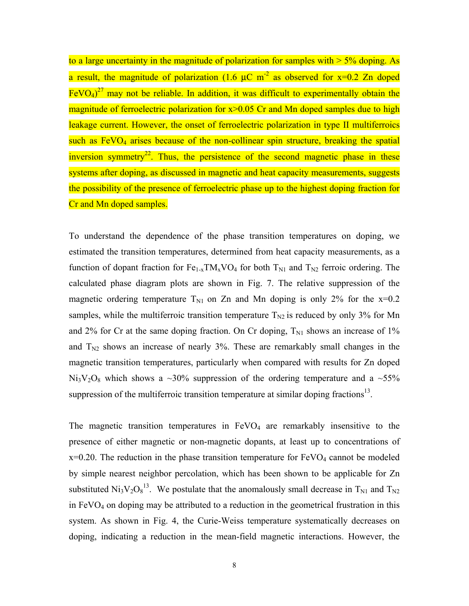to a large uncertainty in the magnitude of polarization for samples with  $> 5\%$  doping. As a result, the magnitude of polarization (1.6  $\mu$ C m<sup>-2</sup> as observed for x=0.2 Zn doped  $FeVO<sub>4</sub>$ <sup>27</sup> may not be reliable. In addition, it was difficult to experimentally obtain the magnitude of ferroelectric polarization for  $x>0.05$  Cr and Mn doped samples due to high leakage current. However, the onset of ferroelectric polarization in type II multiferroics such as  $FeVO<sub>4</sub>$  arises because of the non-collinear spin structure, breaking the spatial inversion symmetry<sup>22</sup>. Thus, the persistence of the second magnetic phase in these systems after doping, as discussed in magnetic and heat capacity measurements, suggests the possibility of the presence of ferroelectric phase up to the highest doping fraction for Cr and Mn doped samples.

To understand the dependence of the phase transition temperatures on doping, we estimated the transition temperatures, determined from heat capacity measurements, as a function of dopant fraction for  $Fe_{1-x}TM_xVO_4$  for both  $T_{N1}$  and  $T_{N2}$  ferroic ordering. The calculated phase diagram plots are shown in Fig. 7. The relative suppression of the magnetic ordering temperature  $T_{\text{N1}}$  on Zn and Mn doping is only 2% for the x=0.2 samples, while the multiferroic transition temperature  $T_{N2}$  is reduced by only 3% for Mn and 2% for Cr at the same doping fraction. On Cr doping,  $T_{\text{N1}}$  shows an increase of 1% and  $T_{N2}$  shows an increase of nearly 3%. These are remarkably small changes in the magnetic transition temperatures, particularly when compared with results for Zn doped  $Ni<sub>3</sub>V<sub>2</sub>O<sub>8</sub>$  which shows a ~30% suppression of the ordering temperature and a ~55% suppression of the multiferroic transition temperature at similar doping fractions $^{13}$ .

The magnetic transition temperatures in  $FeVO<sub>4</sub>$  are remarkably insensitive to the presence of either magnetic or non-magnetic dopants, at least up to concentrations of  $x=0.20$ . The reduction in the phase transition temperature for  $FeVO<sub>4</sub>$  cannot be modeled by simple nearest neighbor percolation, which has been shown to be applicable for Zn substituted Ni<sub>3</sub>V<sub>2</sub>O<sub>8</sub><sup>13</sup>. We postulate that the anomalously small decrease in T<sub>N1</sub> and T<sub>N2</sub> in  $FeVO<sub>4</sub>$  on doping may be attributed to a reduction in the geometrical frustration in this system. As shown in Fig. 4, the Curie-Weiss temperature systematically decreases on doping, indicating a reduction in the mean-field magnetic interactions. However, the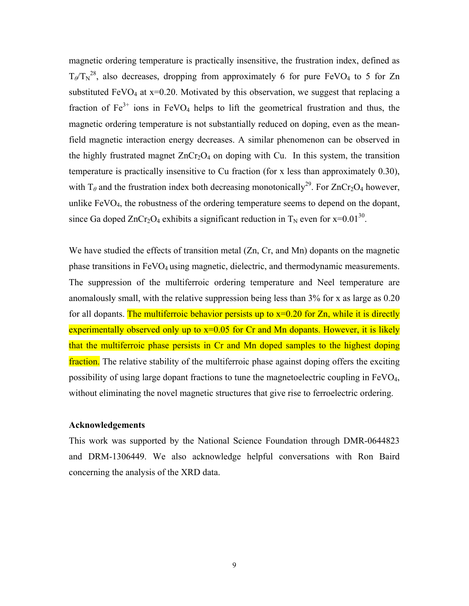magnetic ordering temperature is practically insensitive, the frustration index, defined as  $T_{\theta}$ / $T_N^{28}$ , also decreases, dropping from approximately 6 for pure FeVO<sub>4</sub> to 5 for Zn substituted FeVO<sub>4</sub> at  $x=0.20$ . Motivated by this observation, we suggest that replacing a fraction of  $Fe<sup>3+</sup>$  ions in FeVO<sub>4</sub> helps to lift the geometrical frustration and thus, the magnetic ordering temperature is not substantially reduced on doping, even as the meanfield magnetic interaction energy decreases. A similar phenomenon can be observed in the highly frustrated magnet  $ZnCr_2O_4$  on doping with Cu. In this system, the transition temperature is practically insensitive to Cu fraction (for x less than approximately 0.30), with  $T_\theta$  and the frustration index both decreasing monotonically<sup>29</sup>. For ZnCr<sub>2</sub>O<sub>4</sub> however, unlike FeVO<sub>4</sub>, the robustness of the ordering temperature seems to depend on the dopant, since Ga doped ZnCr<sub>2</sub>O<sub>4</sub> exhibits a significant reduction in T<sub>N</sub> even for x=0.01<sup>30</sup>.

We have studied the effects of transition metal (Zn, Cr, and Mn) dopants on the magnetic phase transitions in FeVO<sub>4</sub> using magnetic, dielectric, and thermodynamic measurements. The suppression of the multiferroic ordering temperature and Neel temperature are anomalously small, with the relative suppression being less than 3% for x as large as 0.20 for all dopants. The multiferroic behavior persists up to  $x=0.20$  for Zn, while it is directly experimentally observed only up to  $x=0.05$  for Cr and Mn dopants. However, it is likely that the multiferroic phase persists in Cr and Mn doped samples to the highest doping fraction. The relative stability of the multiferroic phase against doping offers the exciting possibility of using large dopant fractions to tune the magnetoelectric coupling in FeVO4, without eliminating the novel magnetic structures that give rise to ferroelectric ordering.

### **Acknowledgements**

This work was supported by the National Science Foundation through DMR-0644823 and DRM-1306449. We also acknowledge helpful conversations with Ron Baird concerning the analysis of the XRD data.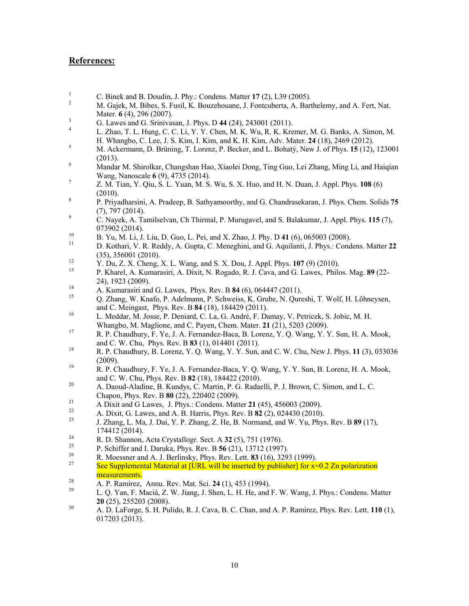### **References:**

- 1 C. Binek and B. Doudin, J. Phy.: Condens. Matter **17** (2), L39 (2005).
- 2 M. Gajek, M. Bibes, S. Fusil, K. Bouzehouane, J. Fontcuberta, A. Barthelemy, and A. Fert, Nat. Mater. **6** (4), 296 (2007).
- 3 G. Lawes and G. Srinivasan, J. Phys. D **44** (24), 243001 (2011).
- 4 L. Zhao, T. L. Hung, C. C. Li, Y. Y. Chen, M. K. Wu, R. K. Kremer, M. G. Banks, A. Simon, M. H. Whangbo, C. Lee, J. S. Kim, I. Kim, and K. H. Kim, Adv. Mater. **24** (18), 2469 (2012).
- 5 M. Ackermann, D. Brüning, T. Lorenz, P. Becker, and L. Bohatý, New J. of Phys. **15** (12), 123001 (2013).
- 6 Mandar M. Shirolkar, Changshan Hao, Xiaolei Dong, Ting Guo, Lei Zhang, Ming Li, and Haiqian Wang, Nanoscale **6** (9), 4735 (2014).
- 7 Z. M. Tian, Y. Qiu, S. L. Yuan, M. S. Wu, S. X. Huo, and H. N. Duan, J. Appl. Phys. **108** (6) (2010).
- 8 P. Priyadharsini, A. Pradeep, B. Sathyamoorthy, and G. Chandrasekaran, J. Phys. Chem. Solids **75** (7), 797 (2014).
- 9 C. Nayek, A. Tamilselvan, Ch Thirmal, P. Murugavel, and S. Balakumar, J. Appl. Phys. **115** (7), 073902 (2014).
- <sup>10</sup> B. Yu, M. Li, J. Liu, D. Guo, L. Pei, and X. Zhao, J. Phy. D **41** (6), 065003 (2008).
- <sup>11</sup> D. Kothari, V. R. Reddy, A. Gupta, C. Meneghini, and G. Aquilanti, J. Phys.: Condens. Matter **22** (35), 356001 (2010).
- <sup>12</sup> Y. Du, Z. X. Cheng, X. L. Wang, and S. X. Dou, J. Appl. Phys. **107** (9) (2010).
- <sup>13</sup> P. Kharel, A. Kumarasiri, A. Dixit, N. Rogado, R. J. Cava, and G. Lawes, Philos. Mag. **89** (22- 24), 1923 (2009).
- 14 A. Kumarasiri and G. Lawes, Phys. Rev. B 84 (6), 064447 (2011).<br>15 A. Kumarasiri and G. Lawes, Phys. Rev. B 84 (6), 064447 (2011).
- <sup>15</sup> Q. Zhang, W. Knafo, P. Adelmann, P. Schweiss, K. Grube, N. Qureshi, T. Wolf, H. Löhneysen, and C. Meingast, Phys. Rev. B **84** (18), 184429 (2011).
- <sup>16</sup> L. Meddar, M. Josse, P. Deniard, C. La, G. André, F. Damay, V. Petricek, S. Jobic, M. H. Whangbo, M. Maglione, and C. Payen, Chem. Mater. **21** (21), 5203 (2009).
- <sup>17</sup> R. P. Chaudhury, F. Ye, J. A. Fernandez-Baca, B. Lorenz, Y. Q. Wang, Y. Y. Sun, H. A. Mook, and C. W. Chu, Phys. Rev. B **83** (1), 014401 (2011).
- <sup>18</sup> R. P. Chaudhury, B. Lorenz, Y. Q. Wang, Y. Y. Sun, and C. W. Chu, New J. Phys. **11** (3), 033036 (2009).
- <sup>19</sup> R. P. Chaudhury, F. Ye, J. A. Fernandez-Baca, Y. Q. Wang, Y. Y. Sun, B. Lorenz, H. A. Mook, and C. W. Chu, Phys. Rev. B **82** (18), 184422 (2010).
- <sup>20</sup> A. Daoud-Aladine, B. Kundys, C. Martin, P. G. Radaelli, P. J. Brown, C. Simon, and L. C. Chapon, Phys. Rev. B **80** (22), 220402 (2009).
- <sup>21</sup> A Dixit and G Lawes, J. Phys.: Condens. Matter **21** (45), 456003 (2009).
- <sup>22</sup> A. Dixit, G. Lawes, and A. B. Harris, Phys. Rev. B **82** (2), 024430 (2010).
- <sup>23</sup> J. Zhang, L. Ma, J. Dai, Y. P. Zhang, Z. He, B. Normand, and W. Yu, Phys. Rev. B **89** (17), 174412 (2014).
- 24 R. D. Shannon, Acta Crystallogr. Sect. A 32 (5), 751 (1976).<br>25 B. Schiffer and J. Daruka, Bhys. B  $56$  (21), 13712 (1997)
- 25 P. Schiffer and I. Daruka, Phys. Rev. B  $\frac{56}{21}$ , 13712 (1997).<br>26 **P. Mossmor and A. J. Berlinghy, Phys. Boy. J. off. 83** (16), 329
- <sup>26</sup> R. Moessner and A. J. Berlinsky, Phys. Rev. Lett. **83** (16), 3293 (1999).<br><sup>27</sup> See Supplemental Material at [URL will be inserted by publisher] for y=
- See Supplemental Material at  $[URL will be inserted by publisher]$  for  $x=0.2$  Zn polarization measurements.
- <sup>28</sup> A. P. Ramirez, Annu. Rev. Mat. Sci. **24** (1), 453 (1994).
- <sup>29</sup> L. Q. Yan, F. Maciá, Z. W. Jiang, J. Shen, L. H. He, and F. W. Wang, J. Phys.: Condens. Matter **20** (25), 255203 (2008).
- <sup>30</sup> A. D. LaForge, S. H. Pulido, R. J. Cava, B. C. Chan, and A. P. Ramirez, Phys. Rev. Lett. **110** (1), 017203 (2013).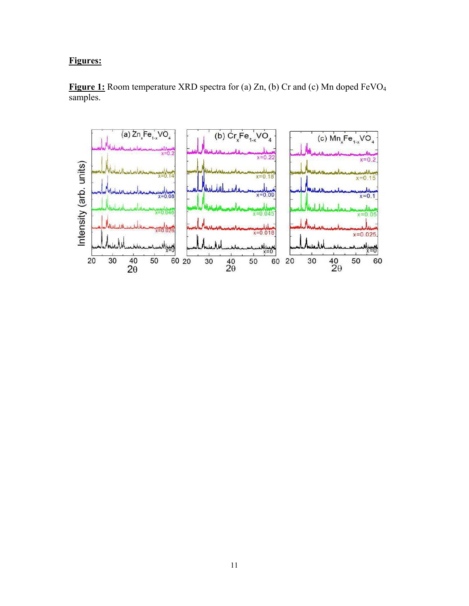### **Figures:**



**Figure 1:** Room temperature XRD spectra for (a) Zn, (b) Cr and (c) Mn doped FeVO<sup>4</sup> samples.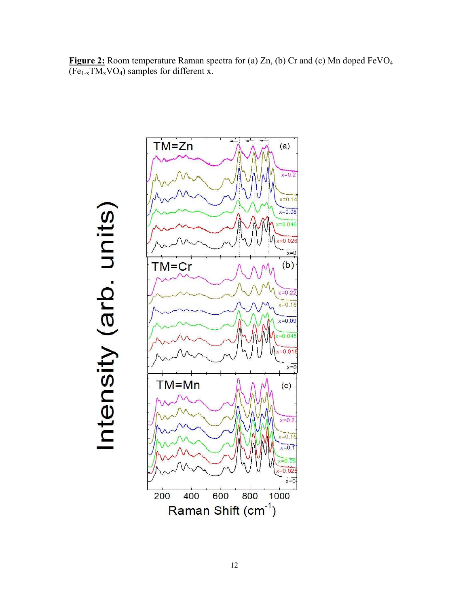**Figure 2:** Room temperature Raman spectra for (a) Zn, (b) Cr and (c) Mn doped FeVO<sup>4</sup>  $(Fe<sub>1-x</sub>TM<sub>x</sub>VO<sub>4</sub>)$  samples for different x.



# Intensity (arb. units)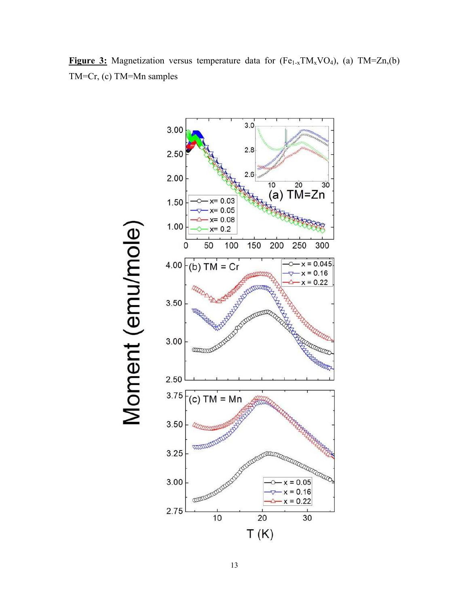

**Figure 3:** Magnetization versus temperature data for  $(Fe_{1-x}TM_xVO_4)$ , (a)  $TM=Zn(0)$ TM=Cr, (c) TM=Mn samples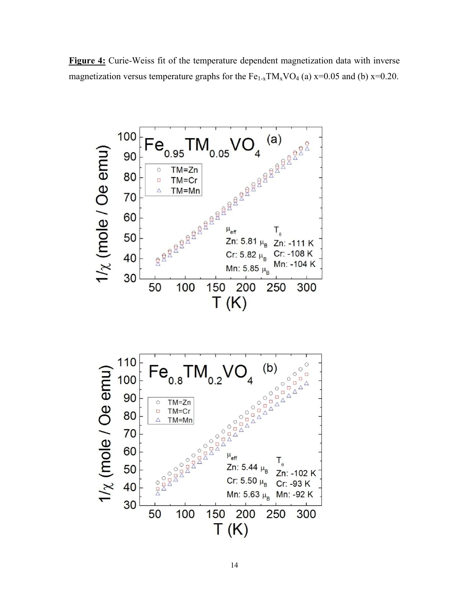**Figure 4:** Curie-Weiss fit of the temperature dependent magnetization data with inverse magnetization versus temperature graphs for the  $Fe_{1-x}TM_xVO_4$  (a)  $x=0.05$  and (b)  $x=0.20$ .

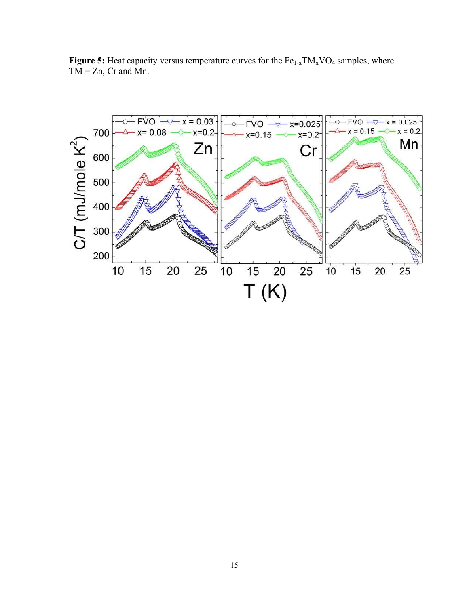**Figure 5:** Heat capacity versus temperature curves for the Fe<sub>1-x</sub>TM<sub>x</sub>VO<sub>4</sub> samples, where  $TM = Zn$ , Cr and Mn.

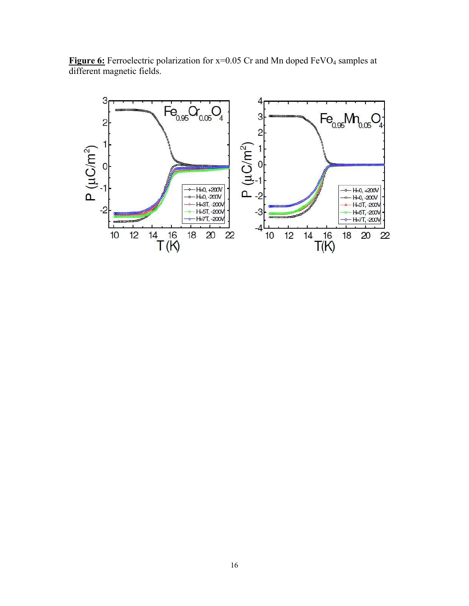

Figure 6: Ferroelectric polarization for x=0.05 Cr and Mn doped FeVO<sub>4</sub> samples at different magnetic fields.